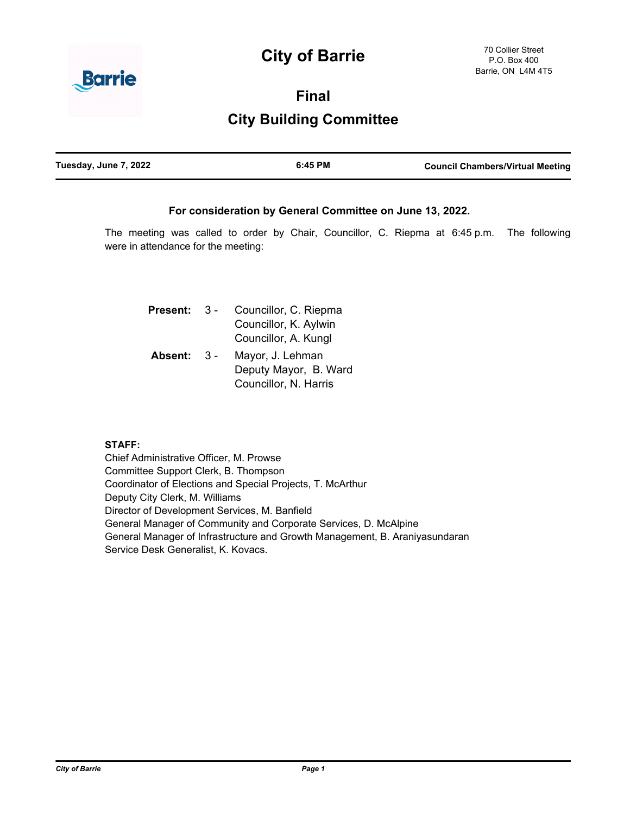# **City of Barrie**



**Final**

# **City Building Committee**

| Tuesday, June 7, 2022 | 6:45 PM | <b>Council Chambers/Virtual Meeting</b> |
|-----------------------|---------|-----------------------------------------|
|                       |         |                                         |

# **For consideration by General Committee on June 13, 2022.**

The meeting was called to order by Chair, Councillor, C. Riepma at 6:45 p.m. The following were in attendance for the meeting:

| <b>Present:</b> | $3 -$ | Councillor, C. Riepma |
|-----------------|-------|-----------------------|
|                 |       | Councillor, K. Aylwin |
|                 |       | Councillor, A. Kungl  |
| Absent:         | $3 -$ | Mayor, J. Lehman      |
|                 |       | Deputy Mayor, B. Ward |
|                 |       | Councillor, N. Harris |

# **STAFF:**

Chief Administrative Officer, M. Prowse Committee Support Clerk, B. Thompson Coordinator of Elections and Special Projects, T. McArthur Deputy City Clerk, M. Williams Director of Development Services, M. Banfield General Manager of Community and Corporate Services, D. McAlpine General Manager of Infrastructure and Growth Management, B. Araniyasundaran Service Desk Generalist, K. Kovacs.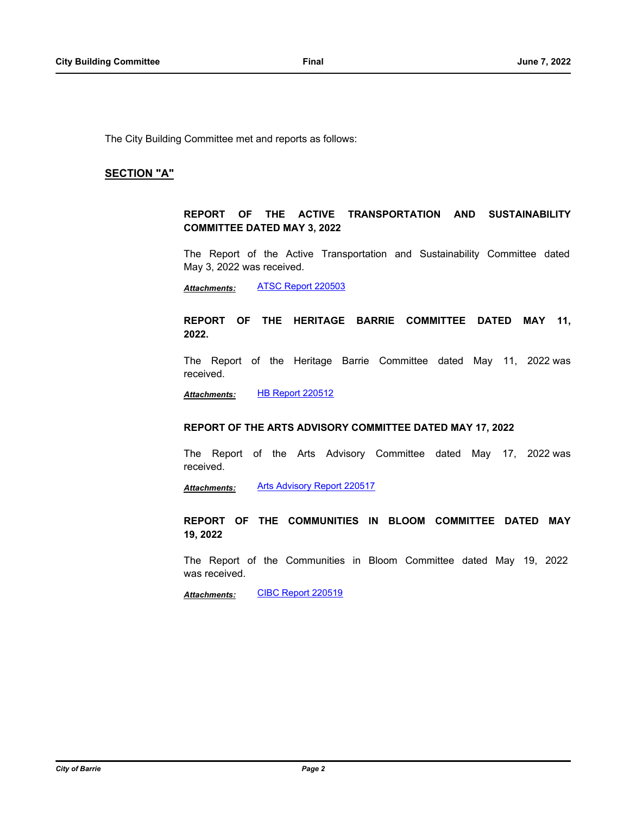The City Building Committee met and reports as follows:

### **SECTION "A"**

## **REPORT OF THE ACTIVE TRANSPORTATION AND SUSTAINABILITY COMMITTEE DATED MAY 3, 2022**

The Report of the Active Transportation and Sustainability Committee dated May 3, 2022 was received.

*Attachments:* [ATSC Report 220503](http://barrie.ca.legistar.com/gateway.aspx?M=F&ID=860dbc5f-5d77-4aa0-9dac-a774532c4ae1.pdf)

### **REPORT OF THE HERITAGE BARRIE COMMITTEE DATED MAY 11, 2022.**

The Report of the Heritage Barrie Committee dated May 11, 2022 was received.

*Attachments:* [HB Report 220512](http://barrie.ca.legistar.com/gateway.aspx?M=F&ID=969044f2-ece8-4c13-aae9-00cebc2c353f.pdf)

#### **REPORT OF THE ARTS ADVISORY COMMITTEE DATED MAY 17, 2022**

The Report of the Arts Advisory Committee dated May 17, 2022 was received.

*Attachments:* [Arts Advisory Report 220517](http://barrie.ca.legistar.com/gateway.aspx?M=F&ID=656781fc-0c35-4a49-876a-41bf0baf3145.pdf)

# **REPORT OF THE COMMUNITIES IN BLOOM COMMITTEE DATED MAY 19, 2022**

The Report of the Communities in Bloom Committee dated May 19, 2022 was received.

*Attachments:* [CIBC Report 220519](http://barrie.ca.legistar.com/gateway.aspx?M=F&ID=1d4e472b-564b-4261-97ce-53b8f957a619.pdf)